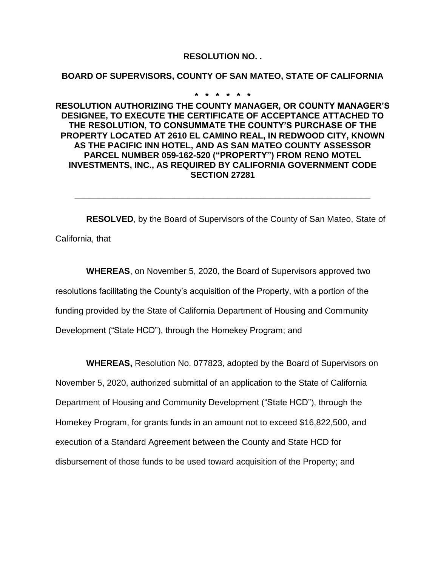## **RESOLUTION NO. .**

## **BOARD OF SUPERVISORS, COUNTY OF SAN MATEO, STATE OF CALIFORNIA**

## **\* \* \* \* \* \***

**RESOLUTION AUTHORIZING THE COUNTY MANAGER, OR COUNTY MANAGER'S DESIGNEE, TO EXECUTE THE CERTIFICATE OF ACCEPTANCE ATTACHED TO THE RESOLUTION, TO CONSUMMATE THE COUNTY'S PURCHASE OF THE PROPERTY LOCATED AT 2610 EL CAMINO REAL, IN REDWOOD CITY, KNOWN AS THE PACIFIC INN HOTEL, AND AS SAN MATEO COUNTY ASSESSOR PARCEL NUMBER 059-162-520 ("PROPERTY") FROM RENO MOTEL INVESTMENTS, INC., AS REQUIRED BY CALIFORNIA GOVERNMENT CODE SECTION 27281**

**RESOLVED**, by the Board of Supervisors of the County of San Mateo, State of California, that

**\_\_\_\_\_\_\_\_\_\_\_\_\_\_\_\_\_\_\_\_\_\_\_\_\_\_\_\_\_\_\_\_\_\_\_\_\_\_\_\_\_\_\_\_\_\_\_\_\_\_\_\_\_\_\_\_\_\_\_\_\_\_**

**WHEREAS**, on November 5, 2020, the Board of Supervisors approved two resolutions facilitating the County's acquisition of the Property, with a portion of the funding provided by the State of California Department of Housing and Community Development ("State HCD"), through the Homekey Program; and

**WHEREAS,** Resolution No. 077823, adopted by the Board of Supervisors on

November 5, 2020, authorized submittal of an application to the State of California Department of Housing and Community Development ("State HCD"), through the Homekey Program, for grants funds in an amount not to exceed \$16,822,500, and execution of a Standard Agreement between the County and State HCD for disbursement of those funds to be used toward acquisition of the Property; and